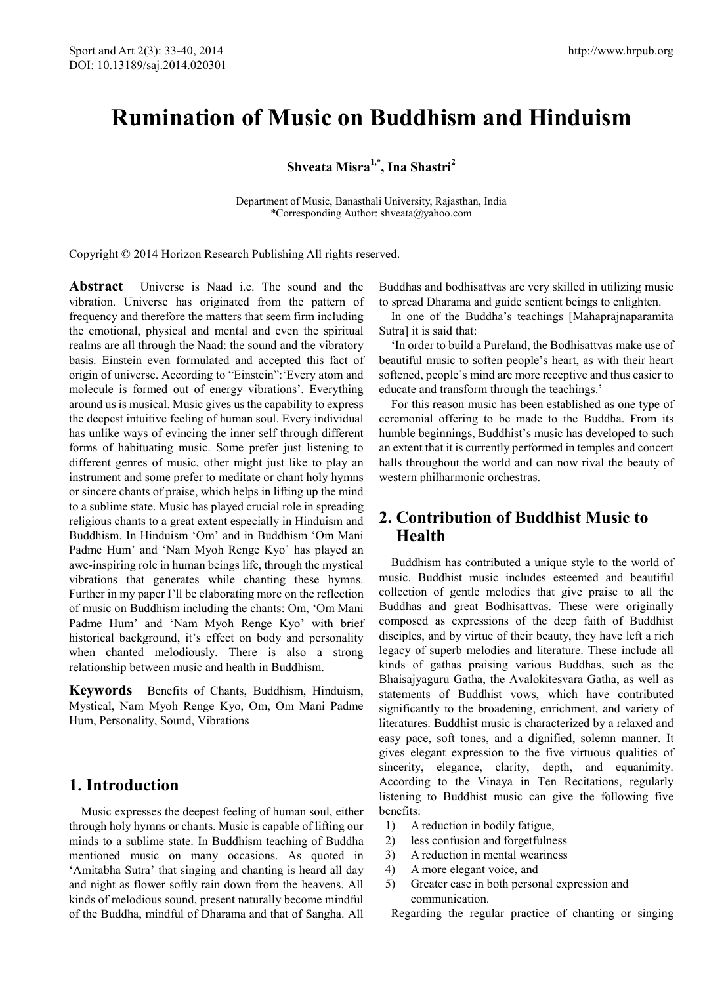# **Rumination of Music on Buddhism and Hinduism**

**Shveata Misra1,\*, Ina Shastri<sup>2</sup>**

Department of Music, Banasthali University, Rajasthan, India \*Corresponding Author: shveata@yahoo.com

Copyright © 2014 Horizon Research Publishing All rights reserved.

**Abstract** Universe is Naad i.e. The sound and the vibration. Universe has originated from the pattern of frequency and therefore the matters that seem firm including the emotional, physical and mental and even the spiritual realms are all through the Naad: the sound and the vibratory basis. Einstein even formulated and accepted this fact of origin of universe. According to "Einstein":'Every atom and molecule is formed out of energy vibrations'. Everything around us is musical. Music gives us the capability to express the deepest intuitive feeling of human soul. Every individual has unlike ways of evincing the inner self through different forms of habituating music. Some prefer just listening to different genres of music, other might just like to play an instrument and some prefer to meditate or chant holy hymns or sincere chants of praise, which helps in lifting up the mind to a sublime state. Music has played crucial role in spreading religious chants to a great extent especially in Hinduism and Buddhism. In Hinduism 'Om' and in Buddhism 'Om Mani Padme Hum' and 'Nam Myoh Renge Kyo' has played an awe-inspiring role in human beings life, through the mystical vibrations that generates while chanting these hymns. Further in my paper I'll be elaborating more on the reflection of music on Buddhism including the chants: Om, 'Om Mani Padme Hum' and 'Nam Myoh Renge Kyo' with brief historical background, it's effect on body and personality when chanted melodiously. There is also a strong relationship between music and health in Buddhism.

**Keywords** Benefits of Chants, Buddhism, Hinduism, Mystical, Nam Myoh Renge Kyo, Om, Om Mani Padme Hum, Personality, Sound, Vibrations

# **1. Introduction**

Music expresses the deepest feeling of human soul, either through holy hymns or chants. Music is capable of lifting our minds to a sublime state. In Buddhism teaching of Buddha mentioned music on many occasions. As quoted in 'Amitabha Sutra' that singing and chanting is heard all day and night as flower softly rain down from the heavens. All kinds of melodious sound, present naturally become mindful of the Buddha, mindful of Dharama and that of Sangha. All

Buddhas and bodhisattvas are very skilled in utilizing music to spread Dharama and guide sentient beings to enlighten.

In one of the Buddha's teachings [Mahaprajnaparamita Sutra] it is said that:

'In order to build a Pureland, the Bodhisattvas make use of beautiful music to soften people's heart, as with their heart softened, people's mind are more receptive and thus easier to educate and transform through the teachings.'

For this reason music has been established as one type of ceremonial offering to be made to the Buddha. From its humble beginnings, Buddhist's music has developed to such an extent that it is currently performed in temples and concert halls throughout the world and can now rival the beauty of western philharmonic orchestras.

# **2. Contribution of Buddhist Music to Health**

Buddhism has contributed a unique style to the world of music. Buddhist music includes esteemed and beautiful collection of gentle melodies that give praise to all the Buddhas and great Bodhisattvas. These were originally composed as expressions of the deep faith of Buddhist disciples, and by virtue of their beauty, they have left a rich legacy of superb melodies and literature. These include all kinds of gathas praising various Buddhas, such as the Bhaisajyaguru Gatha, the Avalokitesvara Gatha, as well as statements of Buddhist vows, which have contributed significantly to the broadening, enrichment, and variety of literatures. Buddhist music is characterized by a relaxed and easy pace, soft tones, and a dignified, solemn manner. It gives elegant expression to the five virtuous qualities of sincerity, elegance, clarity, depth, and equanimity. According to the Vinaya in Ten Recitations, regularly listening to Buddhist music can give the following five benefits:

- 1) A reduction in bodily fatigue,
- 2) less confusion and forgetfulness
- 3) A reduction in mental weariness
- 4) A more elegant voice, and
- 5) Greater ease in both personal expression and communication.

Regarding the regular practice of chanting or singing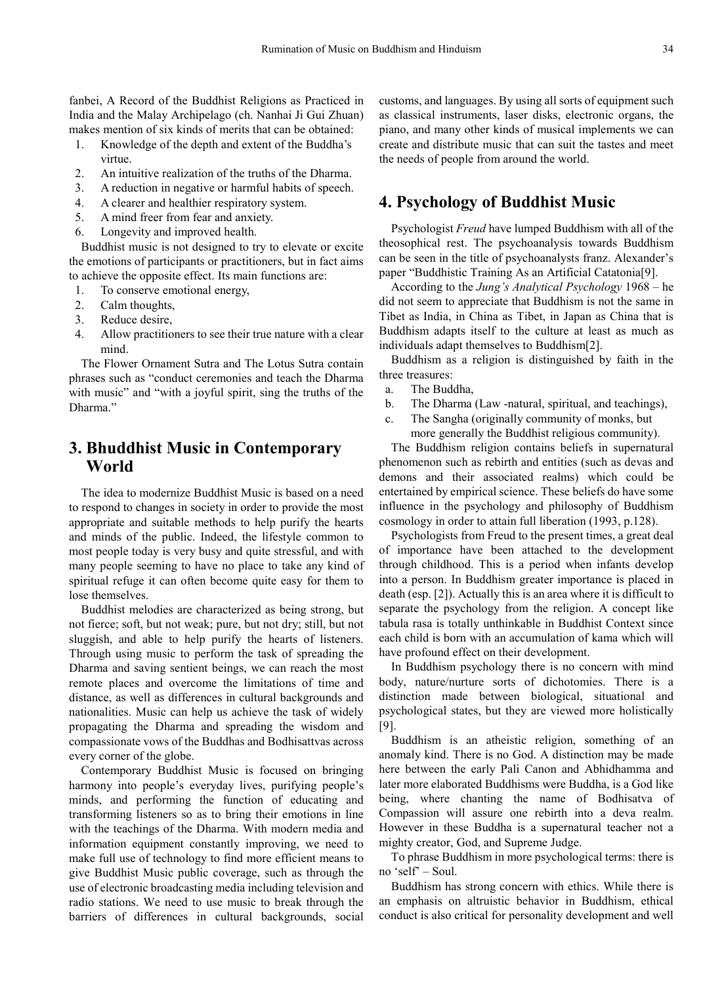fanbei, A Record of the Buddhist Religions as Practiced in India and the Malay Archipelago (ch. Nanhai Ji Gui Zhuan) makes mention of six kinds of merits that can be obtained:

- 1. Knowledge of the depth and extent of the Buddha's virtue.
- 2. An intuitive realization of the truths of the Dharma.
- 3. A reduction in negative or harmful habits of speech.
- 4. A clearer and healthier respiratory system.
- 5. A mind freer from fear and anxiety.
- 6. Longevity and improved health.

Buddhist music is not designed to try to elevate or excite the emotions of participants or practitioners, but in fact aims to achieve the opposite effect. Its main functions are:

- 1. To conserve emotional energy,
- 2. Calm thoughts,
- 3. Reduce desire,
- 4. Allow practitioners to see their true nature with a clear mind.

The Flower Ornament Sutra and The Lotus Sutra contain phrases such as "conduct ceremonies and teach the Dharma with music" and "with a joyful spirit, sing the truths of the Dharma."

### **3. Bhuddhist Music in Contemporary World**

The idea to modernize Buddhist Music is based on a need to respond to changes in society in order to provide the most appropriate and suitable methods to help purify the hearts and minds of the public. Indeed, the lifestyle common to most people today is very busy and quite stressful, and with many people seeming to have no place to take any kind of spiritual refuge it can often become quite easy for them to lose themselves.

Buddhist melodies are characterized as being strong, but not fierce; soft, but not weak; pure, but not dry; still, but not sluggish, and able to help purify the hearts of listeners. Through using music to perform the task of spreading the Dharma and saving sentient beings, we can reach the most remote places and overcome the limitations of time and distance, as well as differences in cultural backgrounds and nationalities. Music can help us achieve the task of widely propagating the Dharma and spreading the wisdom and compassionate vows of the Buddhas and Bodhisattvas across every corner of the globe.

Contemporary Buddhist Music is focused on bringing harmony into people's everyday lives, purifying people's minds, and performing the function of educating and transforming listeners so as to bring their emotions in line with the teachings of the Dharma. With modern media and information equipment constantly improving, we need to make full use of technology to find more efficient means to give Buddhist Music public coverage, such as through the use of electronic broadcasting media including television and radio stations. We need to use music to break through the barriers of differences in cultural backgrounds, social

customs, and languages. By using all sorts of equipment such as classical instruments, laser disks, electronic organs, the piano, and many other kinds of musical implements we can create and distribute music that can suit the tastes and meet the needs of people from around the world.

### **4. Psychology of Buddhist Music**

Psychologist *Freud* have lumped Buddhism with all of the theosophical rest. The psychoanalysis towards Buddhism can be seen in the title of psychoanalysts franz. Alexander's paper "Buddhistic Training As an Artificial Catatonia[9].

According to the *Jung's Analytical Psychology* 1968 – he did not seem to appreciate that Buddhism is not the same in Tibet as India, in China as Tibet, in Japan as China that is Buddhism adapts itself to the culture at least as much as individuals adapt themselves to Buddhism[2].

Buddhism as a religion is distinguished by faith in the three treasures:

a. The Buddha,

- b. The Dharma (Law -natural, spiritual, and teachings),
- c. The Sangha (originally community of monks, but more generally the Buddhist religious community).

The Buddhism religion contains beliefs in supernatural phenomenon such as rebirth and entities (such as devas and demons and their associated realms) which could be entertained by empirical science. These beliefs do have some influence in the psychology and philosophy of Buddhism cosmology in order to attain full liberation (1993, p.128).

Psychologists from Freud to the present times, a great deal of importance have been attached to the development through childhood. This is a period when infants develop into a person. In Buddhism greater importance is placed in death (esp. [2]). Actually this is an area where it is difficult to separate the psychology from the religion. A concept like tabula rasa is totally unthinkable in Buddhist Context since each child is born with an accumulation of kama which will have profound effect on their development.

In Buddhism psychology there is no concern with mind body, nature/nurture sorts of dichotomies. There is a distinction made between biological, situational and psychological states, but they are viewed more holistically [9].

Buddhism is an atheistic religion, something of an anomaly kind. There is no God. A distinction may be made here between the early Pali Canon and Abhidhamma and later more elaborated Buddhisms were Buddha, is a God like being, where chanting the name of Bodhisatva of Compassion will assure one rebirth into a deva realm. However in these Buddha is a supernatural teacher not a mighty creator, God, and Supreme Judge.

To phrase Buddhism in more psychological terms: there is no 'self' – Soul.

Buddhism has strong concern with ethics. While there is an emphasis on altruistic behavior in Buddhism, ethical conduct is also critical for personality development and well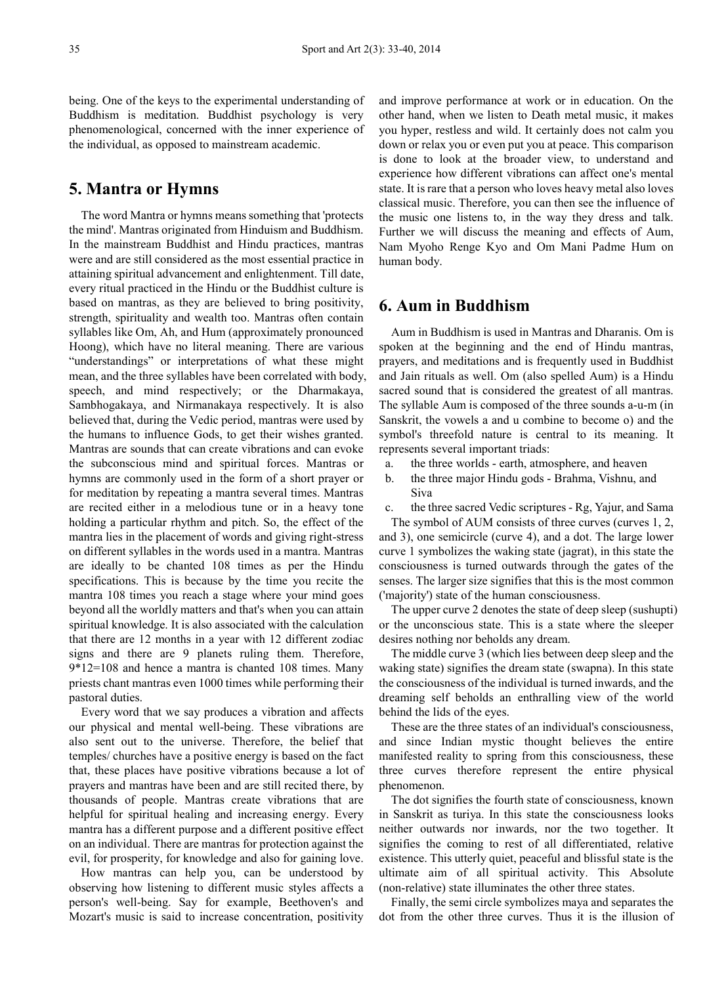being. One of the keys to the experimental understanding of Buddhism is meditation. Buddhist psychology is very phenomenological, concerned with the inner experience of the individual, as opposed to mainstream academic.

### **5. Mantra or Hymns**

The word Mantra or hymns means something that 'protects the mind'. Mantras originated from Hinduism and Buddhism. In the mainstream Buddhist and Hindu practices, mantras were and are still considered as the most essential practice in attaining spiritual advancement and enlightenment. Till date, every ritual practiced in the Hindu or the Buddhist culture is based on mantras, as they are believed to bring positivity, strength, spirituality and wealth too. Mantras often contain syllables like Om, Ah, and Hum (approximately pronounced Hoong), which have no literal meaning. There are various "understandings" or interpretations of what these might mean, and the three syllables have been correlated with body, speech, and mind respectively; or the Dharmakaya, Sambhogakaya, and Nirmanakaya respectively. It is also believed that, during the Vedic period, mantras were used by the humans to influence Gods, to get their wishes granted. Mantras are sounds that can create vibrations and can evoke the subconscious mind and spiritual forces. Mantras or hymns are commonly used in the form of a short prayer or for meditation by repeating a mantra several times. Mantras are recited either in a melodious tune or in a heavy tone holding a particular rhythm and pitch. So, the effect of the mantra lies in the placement of words and giving right-stress on different syllables in the words used in a mantra. Mantras are ideally to be chanted 108 times as per the Hindu specifications. This is because by the time you recite the mantra 108 times you reach a stage where your mind goes beyond all the worldly matters and that's when you can attain spiritual knowledge. It is also associated with the calculation that there are 12 months in a year with 12 different zodiac signs and there are 9 planets ruling them. Therefore, 9\*12=108 and hence a mantra is chanted 108 times. Many priests chant mantras even 1000 times while performing their pastoral duties.

Every word that we say produces a vibration and affects our physical and mental well-being. These vibrations are also sent out to the universe. Therefore, the belief that temples/ churches have a positive energy is based on the fact that, these places have positive vibrations because a lot of prayers and mantras have been and are still recited there, by thousands of people. Mantras create vibrations that are helpful for spiritual healing and increasing energy. Every mantra has a different purpose and a different positive effect on an individual. There are mantras for protection against the evil, for prosperity, for knowledge and also for gaining love.

How mantras can help you, can be understood by observing how listening to different music styles affects a person's well-being. Say for example, Beethoven's and Mozart's music is said to increase concentration, positivity

and improve performance at work or in education. On the other hand, when we listen to Death metal music, it makes you hyper, restless and wild. It certainly does not calm you down or relax you or even put you at peace. This comparison is done to look at the broader view, to understand and experience how different vibrations can affect one's mental state. It is rare that a person who loves heavy metal also loves classical music. Therefore, you can then see the influence of the music one listens to, in the way they dress and talk. Further we will discuss the meaning and effects of Aum, Nam Myoho Renge Kyo and Om Mani Padme Hum on human body.

### **6. Aum in Buddhism**

Aum in Buddhism is used in Mantras and Dharanis. Om is spoken at the beginning and the end of Hindu mantras, prayers, and meditations and is frequently used in Buddhist and Jain rituals as well. Om (also spelled Aum) is a Hindu sacred sound that is considered the greatest of all mantras. The syllable Aum is composed of the three sounds a-u-m (in Sanskrit, the vowels a and u combine to become o) and the symbol's threefold nature is central to its meaning. It represents several important triads:

- a. the three worlds earth, atmosphere, and heaven
- b. the three major Hindu gods Brahma, Vishnu, and Siva

c. the three sacred Vedic scriptures - Rg, Yajur, and Sama

The symbol of AUM consists of three curves (curves 1, 2, and 3), one semicircle (curve 4), and a dot. The large lower curve 1 symbolizes the waking state (jagrat), in this state the consciousness is turned outwards through the gates of the senses. The larger size signifies that this is the most common ('majority') state of the human consciousness.

The upper curve 2 denotes the state of deep sleep (sushupti) or the unconscious state. This is a state where the sleeper desires nothing nor beholds any dream.

The middle curve 3 (which lies between deep sleep and the waking state) signifies the dream state (swapna). In this state the consciousness of the individual is turned inwards, and the dreaming self beholds an enthralling view of the world behind the lids of the eyes.

These are the three states of an individual's consciousness, and since Indian mystic thought believes the entire manifested reality to spring from this consciousness, these three curves therefore represent the entire physical phenomenon.

The dot signifies the fourth state of consciousness, known in Sanskrit as turiya. In this state the consciousness looks neither outwards nor inwards, nor the two together. It signifies the coming to rest of all differentiated, relative existence. This utterly quiet, peaceful and blissful state is the ultimate aim of all spiritual activity. This Absolute (non-relative) state illuminates the other three states.

Finally, the semi circle symbolizes maya and separates the dot from the other three curves. Thus it is the illusion of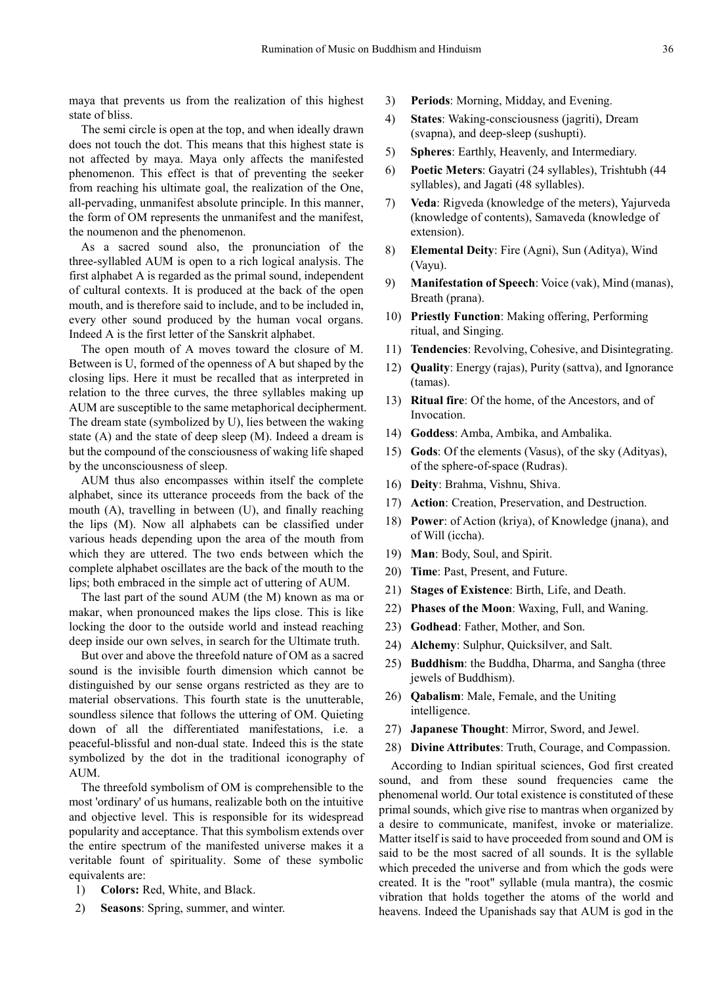maya that prevents us from the realization of this highest state of bliss.

The semi circle is open at the top, and when ideally drawn does not touch the dot. This means that this highest state is not affected by maya. Maya only affects the manifested phenomenon. This effect is that of preventing the seeker from reaching his ultimate goal, the realization of the One, all-pervading, unmanifest absolute principle. In this manner, the form of OM represents the unmanifest and the manifest, the noumenon and the phenomenon.

As a sacred sound also, the pronunciation of the three-syllabled AUM is open to a rich logical analysis. The first alphabet A is regarded as the primal sound, independent of cultural contexts. It is produced at the back of the open mouth, and is therefore said to include, and to be included in, every other sound produced by the human vocal organs. Indeed A is the first letter of the Sanskrit alphabet.

The open mouth of A moves toward the closure of M. Between is U, formed of the openness of A but shaped by the closing lips. Here it must be recalled that as interpreted in relation to the three curves, the three syllables making up AUM are susceptible to the same metaphorical decipherment. The dream state (symbolized by U), lies between the waking state (A) and the state of deep sleep (M). Indeed a dream is but the compound of the consciousness of waking life shaped by the unconsciousness of sleep.

AUM thus also encompasses within itself the complete alphabet, since its utterance proceeds from the back of the mouth (A), travelling in between (U), and finally reaching the lips (M). Now all alphabets can be classified under various heads depending upon the area of the mouth from which they are uttered. The two ends between which the complete alphabet oscillates are the back of the mouth to the lips; both embraced in the simple act of uttering of AUM.

The last part of the sound AUM (the M) known as ma or makar, when pronounced makes the lips close. This is like locking the door to the outside world and instead reaching deep inside our own selves, in search for the Ultimate truth.

But over and above the threefold nature of OM as a sacred sound is the invisible fourth dimension which cannot be distinguished by our sense organs restricted as they are to material observations. This fourth state is the unutterable, soundless silence that follows the uttering of OM. Quieting down of all the differentiated manifestations, i.e. a peaceful-blissful and non-dual state. Indeed this is the state symbolized by the dot in the traditional iconography of AUM.

The threefold symbolism of OM is comprehensible to the most 'ordinary' of us humans, realizable both on the intuitive and objective level. This is responsible for its widespread popularity and acceptance. That this symbolism extends over the entire spectrum of the manifested universe makes it a veritable fount of spirituality. Some of these symbolic equivalents are:

- 1) **Colors:** Red, White, and Black.
- 2) **Seasons**: Spring, summer, and winter.
- 3) **Periods**: Morning, Midday, and Evening.
- 4) **States**: Waking-consciousness (jagriti), Dream (svapna), and deep-sleep (sushupti).
- 5) **Spheres**: Earthly, Heavenly, and Intermediary.
- 6) **Poetic Meters**: Gayatri (24 syllables), Trishtubh (44 syllables), and Jagati (48 syllables).
- 7) **Veda**: Rigveda (knowledge of the meters), Yajurveda (knowledge of contents), Samaveda (knowledge of extension).
- 8) **Elemental Deity**: Fire (Agni), Sun (Aditya), Wind (Vayu).
- 9) **Manifestation of Speech**: Voice (vak), Mind (manas), Breath (prana).
- 10) **Priestly Function**: Making offering, Performing ritual, and Singing.
- 11) **Tendencies**: Revolving, Cohesive, and Disintegrating.
- 12) **Quality**: Energy (rajas), Purity (sattva), and Ignorance (tamas).
- 13) **Ritual fire**: Of the home, of the Ancestors, and of Invocation.
- 14) **Goddess**: Amba, Ambika, and Ambalika.
- 15) **Gods**: Of the elements (Vasus), of the sky (Adityas), of the sphere-of-space (Rudras).
- 16) **Deity**: Brahma, Vishnu, Shiva.
- 17) **Action**: Creation, Preservation, and Destruction.
- 18) **Power**: of Action (kriya), of Knowledge (jnana), and of Will (iccha).
- 19) **Man**: Body, Soul, and Spirit.
- 20) **Time**: Past, Present, and Future.
- 21) **Stages of Existence**: Birth, Life, and Death.
- 22) **Phases of the Moon**: Waxing, Full, and Waning.
- 23) **Godhead**: Father, Mother, and Son.
- 24) **Alchemy**: Sulphur, Quicksilver, and Salt.
- 25) **Buddhism**: the Buddha, Dharma, and Sangha (three jewels of Buddhism).
- 26) **Qabalism**: Male, Female, and the Uniting intelligence.
- 27) **Japanese Thought**: Mirror, Sword, and Jewel.
- 28) **Divine Attributes**: Truth, Courage, and Compassion.

According to Indian spiritual sciences, God first created sound, and from these sound frequencies came the phenomenal world. Our total existence is constituted of these primal sounds, which give rise to mantras when organized by a desire to communicate, manifest, invoke or materialize. Matter itself is said to have proceeded from sound and OM is said to be the most sacred of all sounds. It is the syllable which preceded the universe and from which the gods were created. It is the "root" syllable (mula mantra), the cosmic vibration that holds together the atoms of the world and heavens. Indeed the Upanishads say that AUM is god in the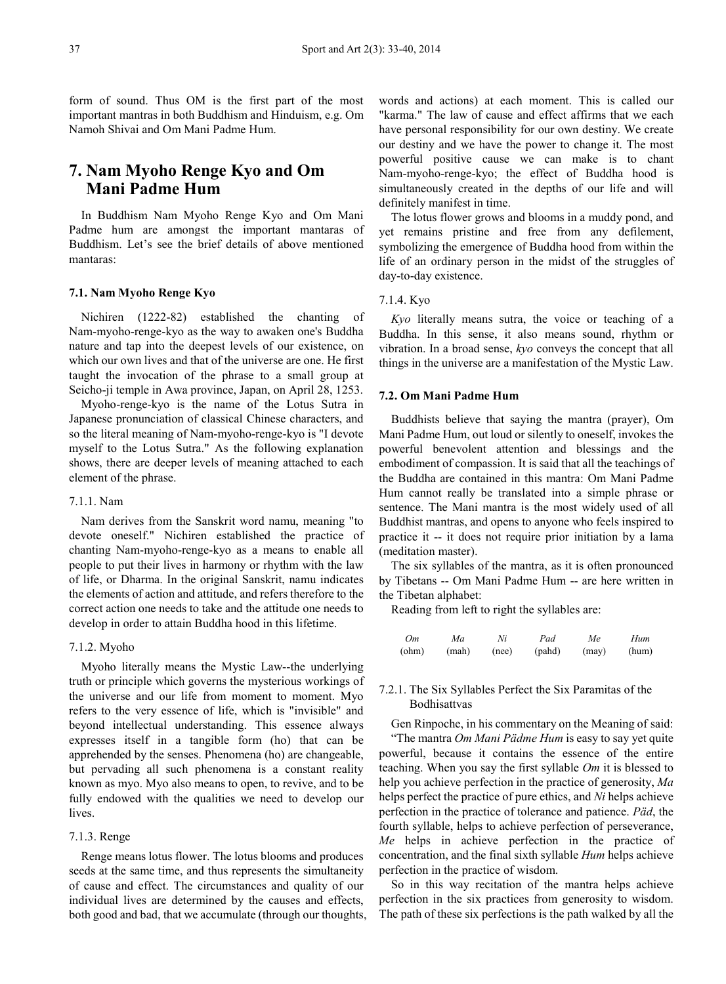form of sound. Thus OM is the first part of the most important mantras in both Buddhism and Hinduism, e.g. Om Namoh Shivai and Om Mani Padme Hum.

# **7. Nam Myoho Renge Kyo and Om Mani Padme Hum**

In Buddhism Nam Myoho Renge Kyo and Om Mani Padme hum are amongst the important mantaras of Buddhism. Let's see the brief details of above mentioned mantaras:

#### **7.1. Nam Myoho Renge Kyo**

Nichiren (1222-82) established the chanting of Nam-myoho-renge-kyo as the way to awaken one's Buddha nature and tap into the deepest levels of our existence, on which our own lives and that of the universe are one. He first taught the invocation of the phrase to a small group at Seicho-ji temple in Awa province, Japan, on April 28, 1253.

Myoho-renge-kyo is the name of the Lotus Sutra in Japanese pronunciation of classical Chinese characters, and so the literal meaning of Nam-myoho-renge-kyo is "I devote myself to the Lotus Sutra." As the following explanation shows, there are deeper levels of meaning attached to each element of the phrase.

#### 7.1.1. Nam

Nam derives from the Sanskrit word namu, meaning "to devote oneself." Nichiren established the practice of chanting Nam-myoho-renge-kyo as a means to enable all people to put their lives in harmony or rhythm with the law of life, or Dharma. In the original Sanskrit, namu indicates the elements of action and attitude, and refers therefore to the correct action one needs to take and the attitude one needs to develop in order to attain Buddha hood in this lifetime.

#### 7.1.2. Myoho

Myoho literally means the Mystic Law--the underlying truth or principle which governs the mysterious workings of the universe and our life from moment to moment. Myo refers to the very essence of life, which is "invisible" and beyond intellectual understanding. This essence always expresses itself in a tangible form (ho) that can be apprehended by the senses. Phenomena (ho) are changeable, but pervading all such phenomena is a constant reality known as myo. Myo also means to open, to revive, and to be fully endowed with the qualities we need to develop our lives.

#### 7.1.3. Renge

Renge means lotus flower. The lotus blooms and produces seeds at the same time, and thus represents the simultaneity of cause and effect. The circumstances and quality of our individual lives are determined by the causes and effects, both good and bad, that we accumulate (through our thoughts,

words and actions) at each moment. This is called our "karma." The law of cause and effect affirms that we each have personal responsibility for our own destiny. We create our destiny and we have the power to change it. The most powerful positive cause we can make is to chant Nam-myoho-renge-kyo; the effect of Buddha hood is simultaneously created in the depths of our life and will definitely manifest in time.

The lotus flower grows and blooms in a muddy pond, and yet remains pristine and free from any defilement, symbolizing the emergence of Buddha hood from within the life of an ordinary person in the midst of the struggles of day-to-day existence.

#### 7.1.4. Kyo

*Kyo* literally means sutra, the voice or teaching of a Buddha. In this sense, it also means sound, rhythm or vibration. In a broad sense, *kyo* conveys the concept that all things in the universe are a manifestation of the Mystic Law.

#### **7.2. Om Mani Padme Hum**

Buddhists believe that saying the mantra (prayer), Om Mani Padme Hum, out loud or silently to oneself, invokes the powerful benevolent attention and blessings and the embodiment of compassion. It is said that all the teachings of the Buddha are contained in this mantra: Om Mani Padme Hum cannot really be translated into a simple phrase or sentence. The Mani mantra is the most widely used of all Buddhist mantras, and opens to anyone who feels inspired to practice it -- it does not require prior initiation by a lama (meditation master).

The six syllables of the mantra, as it is often pronounced by Tibetans -- Om Mani Padme Hum -- are here written in the Tibetan alphabet:

Reading from left to right the syllables are:

| Om    | Ma    | Ni    | Pad    | Me    | Hum   |
|-------|-------|-------|--------|-------|-------|
| (ohm) | (mah) | (nee) | (pahd) | (max) | (hum) |

#### 7.2.1. The Six Syllables Perfect the Six Paramitas of the Bodhisattvas

Gen Rinpoche, in his commentary on the Meaning of said: "The mantra *Om Mani Pädme Hum* is easy to say yet quite powerful, because it contains the essence of the entire teaching. When you say the first syllable *Om* it is blessed to help you achieve perfection in the practice of generosity, *Ma* helps perfect the practice of pure ethics, and *Ni* helps achieve perfection in the practice of tolerance and patience. *Päd*, the fourth syllable, helps to achieve perfection of perseverance, *Me* helps in achieve perfection in the practice of concentration, and the final sixth syllable *Hum* helps achieve perfection in the practice of wisdom.

So in this way recitation of the mantra helps achieve perfection in the six practices from generosity to wisdom. The path of these six perfections is the path walked by all the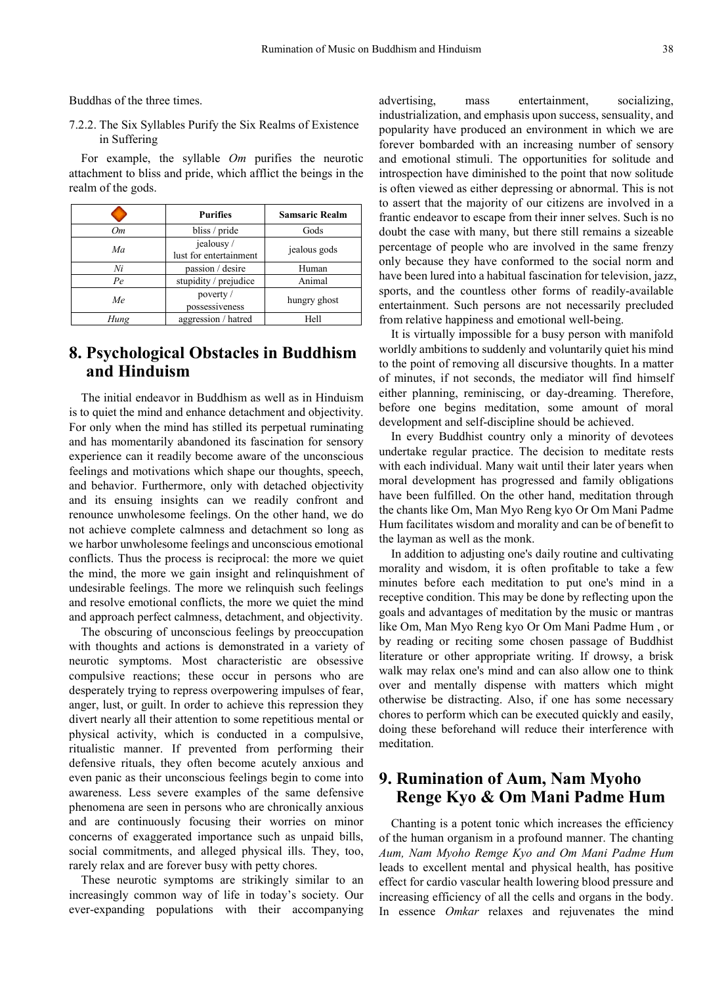Buddhas of the three times.

7.2.2. The Six Syllables Purify the Six Realms of Existence in Suffering

For example, the syllable *Om* purifies the neurotic attachment to bliss and pride, which afflict the beings in the realm of the gods.

|      | <b>Purifies</b>                     | <b>Samsaric Realm</b> |  |
|------|-------------------------------------|-----------------------|--|
| Oт   | bliss / pride                       | Gods                  |  |
| Ma   | jealousy/<br>lust for entertainment | jealous gods          |  |
| Ni   | passion / desire                    | Human                 |  |
| Pe   | stupidity / prejudice               | Animal                |  |
| Me   | poverty /<br>possessiveness         | hungry ghost          |  |
| Hung | aggression / hatred                 | Hell                  |  |

# **8. Psychological Obstacles in Buddhism and Hinduism**

The initial endeavor in Buddhism as well as in Hinduism is to quiet the mind and enhance detachment and objectivity. For only when the mind has stilled its perpetual ruminating and has momentarily abandoned its fascination for sensory experience can it readily become aware of the unconscious feelings and motivations which shape our thoughts, speech, and behavior. Furthermore, only with detached objectivity and its ensuing insights can we readily confront and renounce unwholesome feelings. On the other hand, we do not achieve complete calmness and detachment so long as we harbor unwholesome feelings and unconscious emotional conflicts. Thus the process is reciprocal: the more we quiet the mind, the more we gain insight and relinquishment of undesirable feelings. The more we relinquish such feelings and resolve emotional conflicts, the more we quiet the mind and approach perfect calmness, detachment, and objectivity.

The obscuring of unconscious feelings by preoccupation with thoughts and actions is demonstrated in a variety of neurotic symptoms. Most characteristic are obsessive compulsive reactions; these occur in persons who are desperately trying to repress overpowering impulses of fear, anger, lust, or guilt. In order to achieve this repression they divert nearly all their attention to some repetitious mental or physical activity, which is conducted in a compulsive, ritualistic manner. If prevented from performing their defensive rituals, they often become acutely anxious and even panic as their unconscious feelings begin to come into awareness. Less severe examples of the same defensive phenomena are seen in persons who are chronically anxious and are continuously focusing their worries on minor concerns of exaggerated importance such as unpaid bills, social commitments, and alleged physical ills. They, too, rarely relax and are forever busy with petty chores.

These neurotic symptoms are strikingly similar to an increasingly common way of life in today's society. Our ever-expanding populations with their accompanying

advertising, mass entertainment, socializing, industrialization, and emphasis upon success, sensuality, and popularity have produced an environment in which we are forever bombarded with an increasing number of sensory and emotional stimuli. The opportunities for solitude and introspection have diminished to the point that now solitude is often viewed as either depressing or abnormal. This is not to assert that the majority of our citizens are involved in a frantic endeavor to escape from their inner selves. Such is no doubt the case with many, but there still remains a sizeable percentage of people who are involved in the same frenzy only because they have conformed to the social norm and have been lured into a habitual fascination for television, jazz, sports, and the countless other forms of readily-available entertainment. Such persons are not necessarily precluded from relative happiness and emotional well-being.

It is virtually impossible for a busy person with manifold worldly ambitions to suddenly and voluntarily quiet his mind to the point of removing all discursive thoughts. In a matter of minutes, if not seconds, the mediator will find himself either planning, reminiscing, or day-dreaming. Therefore, before one begins meditation, some amount of moral development and self-discipline should be achieved.

In every Buddhist country only a minority of devotees undertake regular practice. The decision to meditate rests with each individual. Many wait until their later years when moral development has progressed and family obligations have been fulfilled. On the other hand, meditation through the chants like Om, Man Myo Reng kyo Or Om Mani Padme Hum facilitates wisdom and morality and can be of benefit to the layman as well as the monk.

In addition to adjusting one's daily routine and cultivating morality and wisdom, it is often profitable to take a few minutes before each meditation to put one's mind in a receptive condition. This may be done by reflecting upon the goals and advantages of meditation by the music or mantras like Om, Man Myo Reng kyo Or Om Mani Padme Hum , or by reading or reciting some chosen passage of Buddhist literature or other appropriate writing. If drowsy, a brisk walk may relax one's mind and can also allow one to think over and mentally dispense with matters which might otherwise be distracting. Also, if one has some necessary chores to perform which can be executed quickly and easily, doing these beforehand will reduce their interference with meditation.

### **9. Rumination of Aum, Nam Myoho Renge Kyo & Om Mani Padme Hum**

Chanting is a potent tonic which increases the efficiency of the human organism in a profound manner. The chanting *Aum, Nam Myoho Remge Kyo and Om Mani Padme Hum*  leads to excellent mental and physical health, has positive effect for cardio vascular health lowering blood pressure and increasing efficiency of all the cells and organs in the body. In essence *Omkar* relaxes and rejuvenates the mind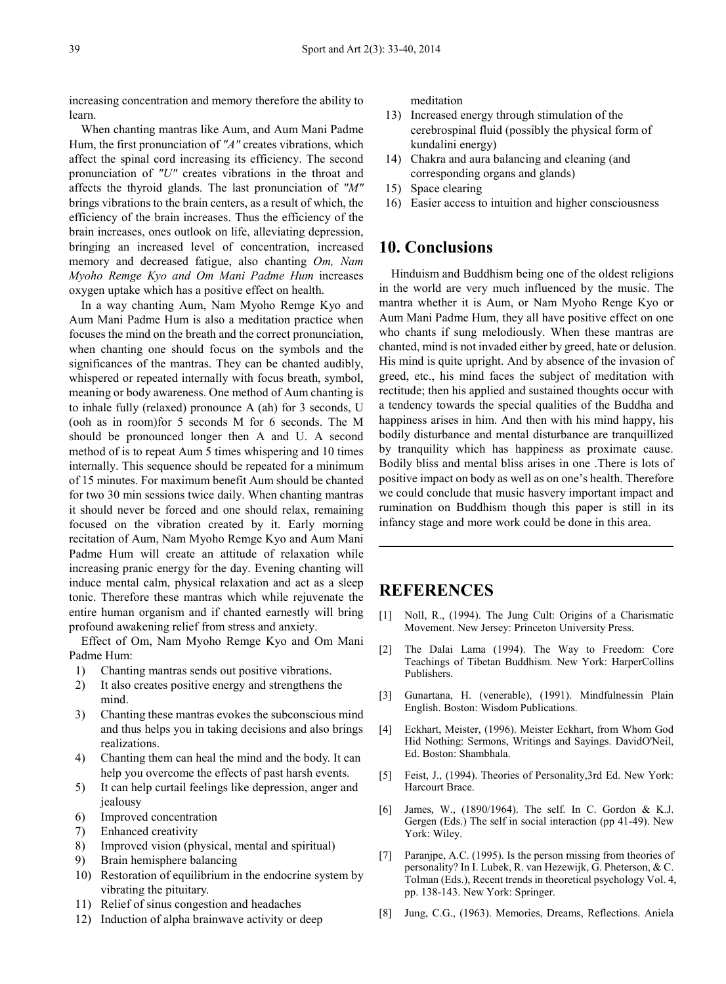increasing concentration and memory therefore the ability to learn.

When chanting mantras like Aum, and Aum Mani Padme Hum, the first pronunciation of *"A"* creates vibrations, which affect the spinal cord increasing its efficiency. The second pronunciation of *"U"* creates vibrations in the throat and affects the thyroid glands. The last pronunciation of *"M"* brings vibrations to the brain centers, as a result of which, the efficiency of the brain increases. Thus the efficiency of the brain increases, ones outlook on life, alleviating depression, bringing an increased level of concentration, increased memory and decreased fatigue, also chanting *Om, Nam Myoho Remge Kyo and Om Mani Padme Hum* increases oxygen uptake which has a positive effect on health.

In a way chanting Aum, Nam Myoho Remge Kyo and Aum Mani Padme Hum is also a meditation practice when focuses the mind on the breath and the correct pronunciation, when chanting one should focus on the symbols and the significances of the mantras. They can be chanted audibly, whispered or repeated internally with focus breath, symbol, meaning or body awareness. One method of Aum chanting is to inhale fully (relaxed) pronounce A (ah) for 3 seconds, U (ooh as in room)for 5 seconds M for 6 seconds. The M should be pronounced longer then A and U. A second method of is to repeat Aum 5 times whispering and 10 times internally. This sequence should be repeated for a minimum of 15 minutes. For maximum benefit Aum should be chanted for two 30 min sessions twice daily. When chanting mantras it should never be forced and one should relax, remaining focused on the vibration created by it. Early morning recitation of Aum, Nam Myoho Remge Kyo and Aum Mani Padme Hum will create an attitude of relaxation while increasing pranic energy for the day. Evening chanting will induce mental calm, physical relaxation and act as a sleep tonic. Therefore these mantras which while rejuvenate the entire human organism and if chanted earnestly will bring profound awakening relief from stress and anxiety.

Effect of Om, Nam Myoho Remge Kyo and Om Mani Padme Hum:

- 1) Chanting mantras sends out positive vibrations.
- 2) It also creates positive energy and strengthens the mind.
- 3) Chanting these mantras evokes the subconscious mind and thus helps you in taking decisions and also brings realizations.
- 4) Chanting them can heal the mind and the body. It can help you overcome the effects of past harsh events.
- 5) It can help curtail feelings like depression, anger and jealousy
- 6) Improved concentration
- 7) Enhanced creativity
- 8) Improved vision (physical, mental and spiritual)
- 9) Brain hemisphere balancing
- 10) Restoration of equilibrium in the endocrine system by vibrating the pituitary.
- 11) Relief of sinus congestion and headaches
- 12) Induction of alpha brainwave activity or deep

meditation

- 13) Increased energy through stimulation of the cerebrospinal fluid (possibly the physical form of kundalini energy)
- 14) Chakra and aura balancing and cleaning (and corresponding organs and glands)
- 15) Space clearing
- 16) Easier access to intuition and higher consciousness

### **10. Conclusions**

Hinduism and Buddhism being one of the oldest religions in the world are very much influenced by the music. The mantra whether it is Aum, or Nam Myoho Renge Kyo or Aum Mani Padme Hum, they all have positive effect on one who chants if sung melodiously. When these mantras are chanted, mind is not invaded either by greed, hate or delusion. His mind is quite upright. And by absence of the invasion of greed, etc., his mind faces the subject of meditation with rectitude; then his applied and sustained thoughts occur with a tendency towards the special qualities of the Buddha and happiness arises in him. And then with his mind happy, his bodily disturbance and mental disturbance are tranquillized by tranquility which has happiness as proximate cause. Bodily bliss and mental bliss arises in one .There is lots of positive impact on body as well as on one's health. Therefore we could conclude that music hasvery important impact and rumination on Buddhism though this paper is still in its infancy stage and more work could be done in this area.

### **REFERENCES**

- [1] Noll, R., (1994). The Jung Cult: Origins of a Charismatic Movement. New Jersey: Princeton University Press.
- [2] The Dalai Lama (1994). The Way to Freedom: Core Teachings of Tibetan Buddhism. New York: HarperCollins Publishers.
- [3] Gunartana, H. (venerable), (1991). Mindfulnessin Plain English. Boston: Wisdom Publications.
- [4] Eckhart, Meister, (1996). Meister Eckhart, from Whom God Hid Nothing: Sermons, Writings and Sayings. DavidO'Neil, Ed. Boston: Shambhala.
- [5] Feist, J., (1994). Theories of Personality,3rd Ed. New York: Harcourt Brace.
- [6] James, W., (1890/1964). The self. In C. Gordon & K.J. Gergen (Eds.) The self in social interaction (pp 41-49). New York: Wiley.
- [7] Paranjpe, A.C. (1995). Is the person missing from theories of personality? In I. Lubek, R. van Hezewijk, G. Pheterson, & C. Tolman (Eds.), Recent trends in theoretical psychology Vol. 4, pp. 138-143. New York: Springer.
- [8] Jung, C.G., (1963). Memories, Dreams, Reflections. Aniela